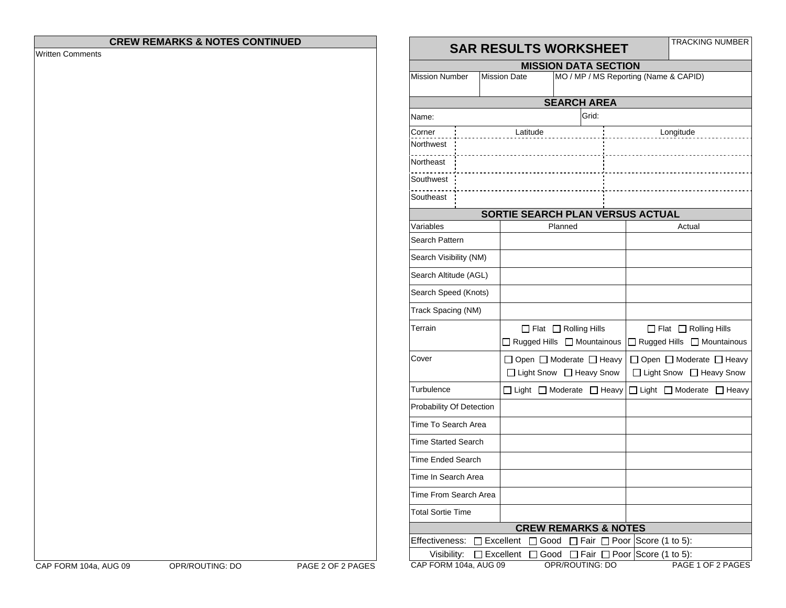## **CREW REMARKS & NOTES CONTINUED**

Written Comments

## **SAR RESULTS WORKSHEET** TRACKING NUMBER

| SAR RESULIS WORKSHEEI                                                                        |                  |                                           |  |                                                              |  |  |  |  |  |  |  |
|----------------------------------------------------------------------------------------------|------------------|-------------------------------------------|--|--------------------------------------------------------------|--|--|--|--|--|--|--|
| <b>MISSION DATA SECTION</b>                                                                  |                  |                                           |  |                                                              |  |  |  |  |  |  |  |
| MO / MP / MS Reporting (Name & CAPID)<br><b>Mission Number</b><br><b>Mission Date</b>        |                  |                                           |  |                                                              |  |  |  |  |  |  |  |
| <b>SEARCH AREA</b>                                                                           |                  |                                           |  |                                                              |  |  |  |  |  |  |  |
| Name:                                                                                        |                  | Grid:                                     |  |                                                              |  |  |  |  |  |  |  |
| Corner                                                                                       | Latitude         |                                           |  | Longitude                                                    |  |  |  |  |  |  |  |
| Northwest                                                                                    |                  |                                           |  |                                                              |  |  |  |  |  |  |  |
| Northeast                                                                                    |                  |                                           |  |                                                              |  |  |  |  |  |  |  |
| Southwest                                                                                    |                  |                                           |  |                                                              |  |  |  |  |  |  |  |
| Southeast                                                                                    |                  |                                           |  |                                                              |  |  |  |  |  |  |  |
| SORTIE SEARCH PLAN VERSUS ACTUAL                                                             |                  |                                           |  |                                                              |  |  |  |  |  |  |  |
| Variables                                                                                    |                  | Planned                                   |  | Actual                                                       |  |  |  |  |  |  |  |
| Search Pattern                                                                               |                  |                                           |  |                                                              |  |  |  |  |  |  |  |
| Search Visibility (NM)                                                                       |                  |                                           |  |                                                              |  |  |  |  |  |  |  |
| Search Altitude (AGL)                                                                        |                  |                                           |  |                                                              |  |  |  |  |  |  |  |
| Search Speed (Knots)                                                                         |                  |                                           |  |                                                              |  |  |  |  |  |  |  |
| Track Spacing (NM)                                                                           |                  |                                           |  |                                                              |  |  |  |  |  |  |  |
| Terrain                                                                                      |                  | $\Box$ Flat $\Box$ Rolling Hills          |  | $\Box$ Flat $\Box$ Rolling Hills                             |  |  |  |  |  |  |  |
|                                                                                              |                  | Rugged Hills   Mountainous                |  | □ Rugged Hills □ Mountainous                                 |  |  |  |  |  |  |  |
| Cover                                                                                        |                  | $\Box$ Open $\Box$ Moderate $\Box$ Heavy  |  | □ Open □ Moderate □ Heavy                                    |  |  |  |  |  |  |  |
|                                                                                              |                  | □ Light Snow □ Heavy Snow                 |  | □ Light Snow □ Heavy Snow                                    |  |  |  |  |  |  |  |
| Turbulence                                                                                   |                  | $\Box$ Light $\Box$ Moderate $\Box$ Heavy |  | □ Light □ Moderate □ Heavy                                   |  |  |  |  |  |  |  |
| Probability Of Detection                                                                     |                  |                                           |  |                                                              |  |  |  |  |  |  |  |
| Time To Search Area                                                                          |                  |                                           |  |                                                              |  |  |  |  |  |  |  |
| <b>Time Started Search</b>                                                                   |                  |                                           |  |                                                              |  |  |  |  |  |  |  |
| Time Ended Search                                                                            |                  |                                           |  |                                                              |  |  |  |  |  |  |  |
| Time In Search Area                                                                          |                  |                                           |  |                                                              |  |  |  |  |  |  |  |
| Time From Search Area                                                                        |                  |                                           |  |                                                              |  |  |  |  |  |  |  |
| <b>Total Sortie Time</b>                                                                     |                  |                                           |  |                                                              |  |  |  |  |  |  |  |
| <b>CREW REMARKS &amp; NOTES</b>                                                              |                  |                                           |  |                                                              |  |  |  |  |  |  |  |
| Effectiveness:<br>$\Box$ Excellent<br>$\Box$ Fair $\Box$ Poor Score (1 to 5):<br>$\Box$ Good |                  |                                           |  |                                                              |  |  |  |  |  |  |  |
| Visibility:<br>CAP FORM 104a, AUG 09                                                         | $\Box$ Excellent | Good<br>OPR/ROUTING: DO                   |  | $\Box$ Fair $\Box$ Poor Score (1 to 5):<br>PAGE 1 OF 2 PAGES |  |  |  |  |  |  |  |